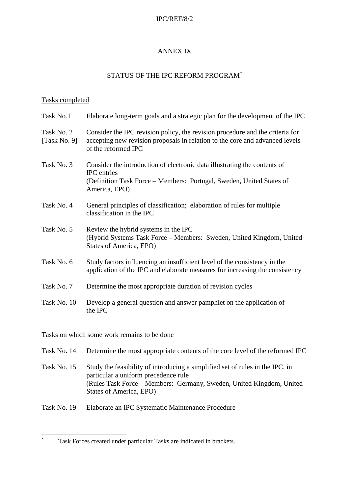#### IPC/REF/8/2

## ANNEX IX

## STATUS OF THE IPC REFORM PROGRAM\*

### Tasks completed

| Task No.1                  | Elaborate long-term goals and a strategic plan for the development of the IPC                                                                                                        |
|----------------------------|--------------------------------------------------------------------------------------------------------------------------------------------------------------------------------------|
| Task No. 2<br>[Task No. 9] | Consider the IPC revision policy, the revision procedure and the criteria for<br>accepting new revision proposals in relation to the core and advanced levels<br>of the reformed IPC |
| Task No. 3                 | Consider the introduction of electronic data illustrating the contents of<br>IPC entries<br>(Definition Task Force – Members: Portugal, Sweden, United States of<br>America, EPO)    |
| Task No. 4                 | General principles of classification; elaboration of rules for multiple<br>classification in the IPC                                                                                 |
| Task No. 5                 | Review the hybrid systems in the IPC<br>(Hybrid Systems Task Force – Members: Sweden, United Kingdom, United<br>States of America, EPO)                                              |
| Task No. 6                 | Study factors influencing an insufficient level of the consistency in the<br>application of the IPC and elaborate measures for increasing the consistency                            |
| Task No. 7                 | Determine the most appropriate duration of revision cycles                                                                                                                           |
| Task No. 10                | Develop a general question and answer pamphlet on the application of<br>the IPC                                                                                                      |

#### Tasks on which some work remains to be done

\*

| Task No. 14 Determine the most appropriate contents of the core level of the reformed IPC |
|-------------------------------------------------------------------------------------------|
|                                                                                           |

- Task No. 15 Study the feasibility of introducing a simplified set of rules in the IPC, in particular a uniform precedence rule (Rules Task Force – Members: Germany, Sweden, United Kingdom, United States of America, EPO)
- Task No. 19 Elaborate an IPC Systematic Maintenance Procedure

Task Forces created under particular Tasks are indicated in brackets.